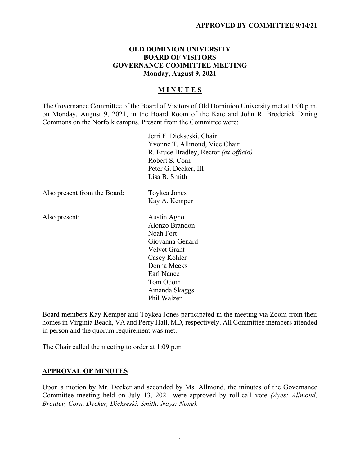## **OLD DOMINION UNIVERSITY BOARD OF VISITORS GOVERNANCE COMMITTEE MEETING Monday, August 9, 2021**

# **M I N U T E S**

The Governance Committee of the Board of Visitors of Old Dominion University met at 1:00 p.m. on Monday, August 9, 2021, in the Board Room of the Kate and John R. Broderick Dining Commons on the Norfolk campus. Present from the Committee were:

Jerri F. Dickseski, Chair Yvonne T. Allmond, Vice Chair R. Bruce Bradley, Rector *(ex-officio)* Robert S. Corn Peter G. Decker, III Lisa B. Smith Also present from the Board: Toykea Jones Kay A. Kemper Also present: Austin Agho Alonzo Brandon Noah Fort Giovanna Genard Velvet Grant Casey Kohler Donna Meeks

Earl Nance Tom Odom Amanda Skaggs Phil Walzer

Board members Kay Kemper and Toykea Jones participated in the meeting via Zoom from their homes in Virginia Beach, VA and Perry Hall, MD, respectively. All Committee members attended in person and the quorum requirement was met.

The Chair called the meeting to order at 1:09 p.m

#### **APPROVAL OF MINUTES**

Upon a motion by Mr. Decker and seconded by Ms. Allmond, the minutes of the Governance Committee meeting held on July 13, 2021 were approved by roll-call vote *(Ayes: Allmond, Bradley, Corn, Decker, Dickseski, Smith; Nays: None).*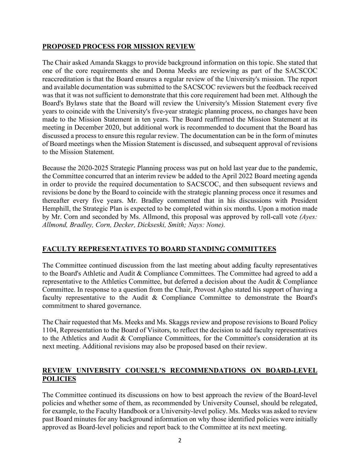# **PROPOSED PROCESS FOR MISSION REVIEW**

The Chair asked Amanda Skaggs to provide background information on this topic. She stated that one of the core requirements she and Donna Meeks are reviewing as part of the SACSCOC reaccreditation is that the Board ensures a regular review of the University's mission. The report and available documentation was submitted to the SACSCOC reviewers but the feedback received was that it was not sufficient to demonstrate that this core requirement had been met. Although the Board's Bylaws state that the Board will review the University's Mission Statement every five years to coincide with the University's five-year strategic planning process, no changes have been made to the Mission Statement in ten years. The Board reaffirmed the Mission Statement at its meeting in December 2020, but additional work is recommended to document that the Board has discussed a process to ensure this regular review. The documentation can be in the form of minutes of Board meetings when the Mission Statement is discussed, and subsequent approval of revisions to the Mission Statement.

Because the 2020-2025 Strategic Planning process was put on hold last year due to the pandemic, the Committee concurred that an interim review be added to the April 2022 Board meeting agenda in order to provide the required documentation to SACSCOC, and then subsequent reviews and revisions be done by the Board to coincide with the strategic planning process once it resumes and thereafter every five years. Mr. Bradley commented that in his discussions with President Hemphill, the Strategic Plan is expected to be completed within six months. Upon a motion made by Mr. Corn and seconded by Ms. Allmond, this proposal was approved by roll-call vote *(Ayes: Allmond, Bradley, Corn, Decker, Dickseski, Smith; Nays: None).*

# **FACULTY REPRESENTATIVES TO BOARD STANDING COMMITTEES**

The Committee continued discussion from the last meeting about adding faculty representatives to the Board's Athletic and Audit & Compliance Committees. The Committee had agreed to add a representative to the Athletics Committee, but deferred a decision about the Audit & Compliance Committee. In response to a question from the Chair, Provost Agho stated his support of having a faculty representative to the Audit & Compliance Committee to demonstrate the Board's commitment to shared governance.

The Chair requested that Ms. Meeks and Ms. Skaggs review and propose revisions to Board Policy 1104, Representation to the Board of Visitors, to reflect the decision to add faculty representatives to the Athletics and Audit & Compliance Committees, for the Committee's consideration at its next meeting. Additional revisions may also be proposed based on their review.

# **REVIEW UNIVERSITY COUNSEL'S RECOMMENDATIONS ON BOARD-LEVEL POLICIES**

The Committee continued its discussions on how to best approach the review of the Board-level policies and whether some of them, as recommended by University Counsel, should be relegated, for example, to the Faculty Handbook or a University-level policy. Ms. Meeks was asked to review past Board minutes for any background information on why those identified policies were initially approved as Board-level policies and report back to the Committee at its next meeting.